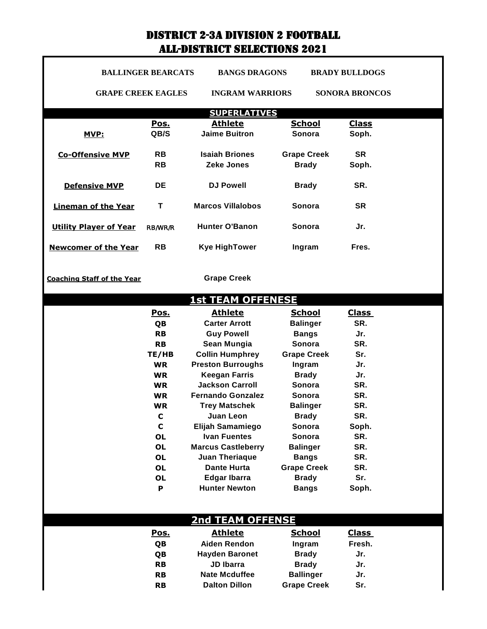## DISTRICT 2-3A DIVISION 2 FOOTBALL ALL-DISTRICT SELECTIONS 2021

1

|                                   | <b>BALLINGER BEARCATS</b> | <b>BANGS DRAGONS</b>              |                                 | <b>BRADY BULLDOGS</b> |
|-----------------------------------|---------------------------|-----------------------------------|---------------------------------|-----------------------|
| <b>GRAPE CREEK EAGLES</b>         |                           | <b>INGRAM WARRIORS</b>            |                                 | <b>SONORA BRONCOS</b> |
|                                   |                           | <b>SUPERLATIVES</b>               |                                 |                       |
|                                   | Pos.                      | <b>Athlete</b>                    | <b>School</b>                   | <b>Class</b>          |
| <u>MVP:</u>                       | QB/S                      | <b>Jaime Buitron</b>              | Sonora                          | Soph.                 |
|                                   |                           |                                   |                                 |                       |
| <b>Co-Offensive MVP</b>           | <b>RB</b>                 | <b>Isaiah Briones</b>             | <b>Grape Creek</b>              | <b>SR</b>             |
|                                   | <b>RB</b>                 | <b>Zeke Jones</b>                 | <b>Brady</b>                    | Soph.                 |
| <b>Defensive MVP</b>              | <b>DE</b>                 | <b>DJ Powell</b>                  | <b>Brady</b>                    | SR.                   |
| <b>Lineman of the Year</b>        | Т                         | <b>Marcos Villalobos</b>          | Sonora                          | <b>SR</b>             |
|                                   |                           |                                   |                                 |                       |
| <b>Utility Player of Year</b>     | RB/WR/R                   | <b>Hunter O'Banon</b>             | Sonora                          | Jr.                   |
| <b>Newcomer of the Year</b>       | <b>RB</b>                 | <b>Kye HighTower</b>              | Ingram                          | Fres.                 |
|                                   |                           |                                   |                                 |                       |
| <b>Coaching Staff of the Year</b> |                           | <b>Grape Creek</b>                |                                 |                       |
|                                   |                           | <b>1st TEAM OFFENESE</b>          |                                 |                       |
|                                   | Pos.                      | <b>Athlete</b>                    | <b>School</b>                   | <b>Class</b>          |
|                                   | QB                        | <b>Carter Arrott</b>              | <b>Balinger</b>                 | SR.                   |
|                                   | <b>RB</b>                 | <b>Guy Powell</b>                 | <b>Bangs</b>                    | Jr.                   |
|                                   | <b>RB</b>                 | Sean Mungia                       | Sonora                          | SR.                   |
|                                   | TE/HB                     | <b>Collin Humphrey</b>            | <b>Grape Creek</b>              | Sr.                   |
|                                   | <b>WR</b>                 | <b>Preston Burroughs</b>          | Ingram                          | Jr.                   |
|                                   | <b>WR</b>                 | <b>Keegan Farris</b>              | <b>Brady</b>                    | Jr.                   |
|                                   | <b>WR</b>                 | <b>Jackson Carroll</b>            | Sonora                          | SR.                   |
|                                   | <b>WR</b>                 | <b>Fernando Gonzalez</b>          | <b>Sonora</b>                   | SR.                   |
|                                   | <b>WR</b>                 | <b>Trey Matschek</b><br>Juan Leon | <b>Balinger</b><br><b>Brady</b> | SR.<br>SR.            |
|                                   | C<br>$\mathbf c$          | Elijah Samamiego                  | Sonora                          | Soph.                 |
|                                   | <b>OL</b>                 | <b>Ivan Fuentes</b>               | Sonora                          | SR.                   |
|                                   | <b>OL</b>                 | <b>Marcus Castleberry</b>         | <b>Balinger</b>                 | SR.                   |
|                                   | <b>OL</b>                 | <b>Juan Theriaque</b>             | <b>Bangs</b>                    | SR.                   |
|                                   | <b>OL</b>                 | <b>Dante Hurta</b>                | <b>Grape Creek</b>              | SR.                   |
|                                   | <b>OL</b>                 | <b>Edgar Ibarra</b>               | <b>Brady</b>                    | Sr.                   |
|                                   | P                         | <b>Hunter Newton</b>              | <b>Bangs</b>                    | Soph.                 |
|                                   |                           |                                   |                                 |                       |
|                                   |                           | <b>2nd TEAM OFFENSE</b>           |                                 |                       |
|                                   | Pos.                      | <b>Athlete</b>                    | <b>School</b>                   | <b>Class</b>          |
|                                   | QB                        | <b>Aiden Rendon</b>               | Ingram                          | Fresh.                |
|                                   | QB                        | <b>Hayden Baronet</b>             | <b>Brady</b>                    | Jr.                   |
|                                   | <b>RB</b>                 | <b>JD Ibarra</b>                  | <b>Brady</b>                    | Jr.                   |
|                                   | <b>RB</b>                 | <b>Nate Mcduffee</b>              | <b>Ballinger</b>                | Jr.                   |
|                                   | <b>RB</b>                 | <b>Dalton Dillon</b>              | <b>Grape Creek</b>              | Sr.                   |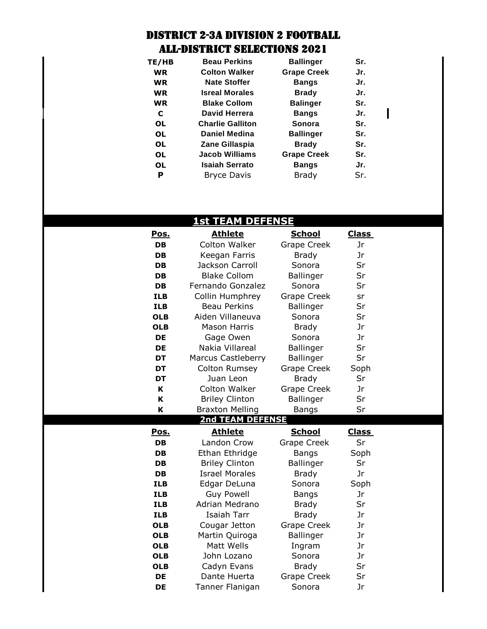## DISTRICT 2-3A DIVISION 2 FOOTBALL ALL-DISTRICT SELECTIONS 2021

| TE/HB     | <b>Beau Perkins</b>     | <b>Ballinger</b>   | Sr. |  |
|-----------|-------------------------|--------------------|-----|--|
| <b>WR</b> | <b>Colton Walker</b>    | <b>Grape Creek</b> | Jr. |  |
| <b>WR</b> | <b>Nate Stoffer</b>     | <b>Bangs</b>       | Jr. |  |
| <b>WR</b> | <b>Isreal Morales</b>   | <b>Brady</b>       | Jr. |  |
| <b>WR</b> | <b>Blake Collom</b>     | <b>Balinger</b>    | Sr. |  |
| C         | David Herrera           | <b>Bangs</b>       | Jr. |  |
| <b>OL</b> | <b>Charlie Galliton</b> | Sonora             | Sr. |  |
| <b>OL</b> | <b>Daniel Medina</b>    | <b>Ballinger</b>   | Sr. |  |
| 0L        | Zane Gillaspia          | <b>Brady</b>       | Sr. |  |
| <b>OL</b> | <b>Jacob Williams</b>   | <b>Grape Creek</b> | Sr. |  |
| <b>OL</b> | <b>Isaiah Serrato</b>   | <b>Bangs</b>       | Jr. |  |
| Р         | <b>Bryce Davis</b>      | <b>Brady</b>       | Sr. |  |

 $\mathbf I$ 

## **1st TEAM DEFENSE**

| <u>Pos.</u>            | <b>Athlete</b>                  | <u>School</u>                | <b>Class</b> |
|------------------------|---------------------------------|------------------------------|--------------|
| DB                     | Colton Walker                   | Grape Creek                  | Jr           |
| <b>DB</b>              | Keegan Farris                   | <b>Brady</b>                 | Jr           |
| DB                     | Jackson Carroll                 | Sonora                       | Sr           |
| DB.                    | <b>Blake Collom</b>             | <b>Ballinger</b>             | Sr           |
| DB                     | Fernando Gonzalez               | Sonora                       | Sr           |
| <b>ILB</b>             | Collin Humphrey                 | Grape Creek                  | sr           |
| <b>ILB</b>             | <b>Beau Perkins</b>             | Ballinger                    | Sr           |
| <b>OLB</b>             | Aiden Villaneuva                | Sonora                       | Sr           |
| <b>OLB</b>             | <b>Mason Harris</b>             | <b>Brady</b>                 | Jr           |
| DE                     | Gage Owen                       | Sonora                       | Jr           |
| DE                     | Nakia Villareal                 | Ballinger                    | Sr           |
| <b>DT</b>              | <b>Marcus Castleberry</b>       | <b>Ballinger</b>             | Sr           |
| <b>DT</b>              | Colton Rumsey                   | Grape Creek                  | Soph         |
| DT                     | Juan Leon                       | <b>Brady</b>                 | Sr           |
| K                      | Colton Walker                   | Grape Creek                  | Jr           |
| K                      | <b>Briley Clinton</b>           | <b>Ballinger</b>             | Sr           |
|                        |                                 |                              | Sr           |
| K                      | <b>Braxton Melling</b>          | <b>Bangs</b>                 |              |
|                        | <b>2nd TEAM DEFENSE</b>         |                              |              |
| <u>Pos.</u>            | <b>Athlete</b>                  | <b>School</b>                | <b>Class</b> |
| DB                     | Landon Crow                     | Grape Creek                  | Sr           |
| DB                     | Ethan Ethridge                  | <b>Bangs</b>                 | Soph         |
| DB                     | <b>Briley Clinton</b>           | <b>Ballinger</b>             | Sr           |
| DB                     | <b>Israel Morales</b>           | <b>Brady</b>                 | Jr           |
| <b>ILB</b>             | Edgar DeLuna                    | Sonora                       | Soph         |
| <b>ILB</b>             | <b>Guy Powell</b>               | <b>Bangs</b>                 | Jr           |
| <b>ILB</b>             | Adrian Medrano                  | <b>Brady</b>                 | Sr           |
| <b>ILB</b>             | Isaiah Tarr                     | <b>Brady</b>                 | Jr           |
| <b>OLB</b>             | Cougar Jetton                   | <b>Grape Creek</b>           | Jr           |
| <b>OLB</b>             | Martin Quiroga                  | Ballinger                    | Jr           |
| <b>OLB</b>             | Matt Wells                      | Ingram                       | Jr           |
| <b>OLB</b>             | John Lozano                     | Sonora                       | Jr           |
| <b>OLB</b>             | Cadyn Evans                     | <b>Brady</b>                 | Sr           |
| <b>DE</b><br><b>DE</b> | Dante Huerta<br>Tanner Flanigan | <b>Grape Creek</b><br>Sonora | Sr<br>Jr     |